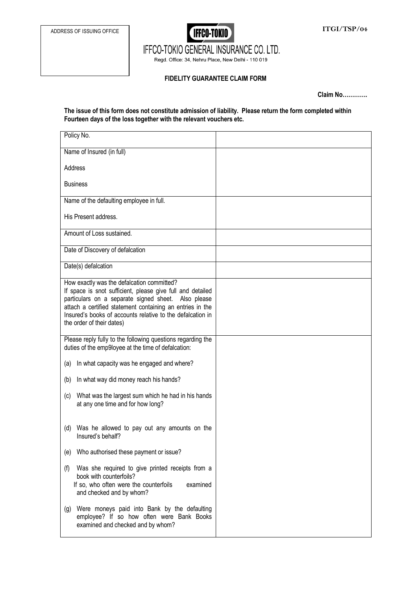

IFFCO-TOKIO GENERAL INSURANCE CO. LTD.

Regd. Office: 34, Nehru Place, New Delhi - 110 019

## **FIDELITY GUARANTEE CLAIM FORM**

**Claim No………….** 

## **The issue of this form does not constitute admission of liability. Please return the form completed within Fourteen days of the loss together with the relevant vouchers etc.**

| Policy No.                                                                                                                                                                                                                                                                                                              |  |
|-------------------------------------------------------------------------------------------------------------------------------------------------------------------------------------------------------------------------------------------------------------------------------------------------------------------------|--|
| Name of Insured (in full)                                                                                                                                                                                                                                                                                               |  |
| Address                                                                                                                                                                                                                                                                                                                 |  |
| <b>Business</b>                                                                                                                                                                                                                                                                                                         |  |
| Name of the defaulting employee in full.                                                                                                                                                                                                                                                                                |  |
| His Present address.                                                                                                                                                                                                                                                                                                    |  |
| Amount of Loss sustained.                                                                                                                                                                                                                                                                                               |  |
| Date of Discovery of defalcation                                                                                                                                                                                                                                                                                        |  |
| Date(s) defalcation                                                                                                                                                                                                                                                                                                     |  |
| How exactly was the defalcation committed?<br>If space is snot sufficient, please give full and detailed<br>particulars on a separate signed sheet. Also please<br>attach a certified statement containing an entries in the<br>Insured's books of accounts relative to the defalcation in<br>the order of their dates) |  |
| Please reply fully to the following questions regarding the<br>duties of the emp9loyee at the time of defalcation:                                                                                                                                                                                                      |  |
| In what capacity was he engaged and where?<br>(a)                                                                                                                                                                                                                                                                       |  |
| In what way did money reach his hands?<br>(b)                                                                                                                                                                                                                                                                           |  |
| What was the largest sum which he had in his hands<br>(c)<br>at any one time and for how long?                                                                                                                                                                                                                          |  |
| Was he allowed to pay out any amounts on the<br>(d)<br>Insured's behalf?                                                                                                                                                                                                                                                |  |
| Who authorised these payment or issue?<br>(e)                                                                                                                                                                                                                                                                           |  |
| Was she required to give printed receipts from a<br>(f)<br>book with counterfoils?<br>If so, who often were the counterfoils<br>examined<br>and checked and by whom?                                                                                                                                                    |  |
| Were moneys paid into Bank by the defaulting<br>(g)<br>employee? If so how often were Bank Books<br>examined and checked and by whom?                                                                                                                                                                                   |  |